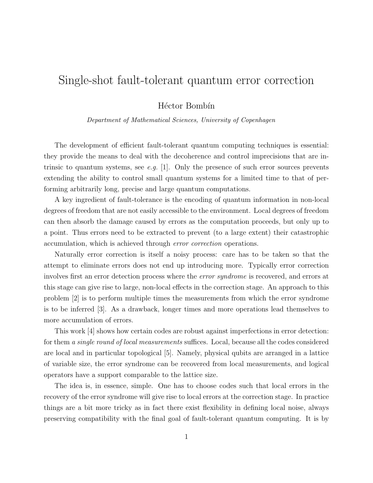## Single-shot fault-tolerant quantum error correction

Héctor Bombín

Department of Mathematical Sciences, University of Copenhagen

The development of efficient fault-tolerant quantum computing techniques is essential: they provide the means to deal with the decoherence and control imprecisions that are intrinsic to quantum systems, see e.g. [1]. Only the presence of such error sources prevents extending the ability to control small quantum systems for a limited time to that of performing arbitrarily long, precise and large quantum computations.

A key ingredient of fault-tolerance is the encoding of quantum information in non-local degrees of freedom that are not easily accessible to the environment. Local degrees of freedom can then absorb the damage caused by errors as the computation proceeds, but only up to a point. Thus errors need to be extracted to prevent (to a large extent) their catastrophic accumulation, which is achieved through error correction operations.

Naturally error correction is itself a noisy process: care has to be taken so that the attempt to eliminate errors does not end up introducing more. Typically error correction involves first an error detection process where the error syndrome is recovered, and errors at this stage can give rise to large, non-local effects in the correction stage. An approach to this problem [2] is to perform multiple times the measurements from which the error syndrome is to be inferred [3]. As a drawback, longer times and more operations lead themselves to more accumulation of errors.

This work [4] shows how certain codes are robust against imperfections in error detection: for them a single round of local measurements suffices. Local, because all the codes considered are local and in particular topological [5]. Namely, physical qubits are arranged in a lattice of variable size, the error syndrome can be recovered from local measurements, and logical operators have a support comparable to the lattice size.

The idea is, in essence, simple. One has to choose codes such that local errors in the recovery of the error syndrome will give rise to local errors at the correction stage. In practice things are a bit more tricky as in fact there exist flexibility in defining local noise, always preserving compatibility with the final goal of fault-tolerant quantum computing. It is by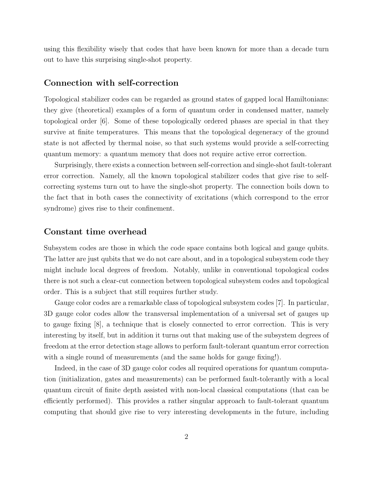using this flexibility wisely that codes that have been known for more than a decade turn out to have this surprising single-shot property.

## Connection with self-correction

Topological stabilizer codes can be regarded as ground states of gapped local Hamiltonians: they give (theoretical) examples of a form of quantum order in condensed matter, namely topological order [6]. Some of these topologically ordered phases are special in that they survive at finite temperatures. This means that the topological degeneracy of the ground state is not affected by thermal noise, so that such systems would provide a self-correcting quantum memory: a quantum memory that does not require active error correction.

Surprisingly, there exists a connection between self-correction and single-shot fault-tolerant error correction. Namely, all the known topological stabilizer codes that give rise to selfcorrecting systems turn out to have the single-shot property. The connection boils down to the fact that in both cases the connectivity of excitations (which correspond to the error syndrome) gives rise to their confinement.

## Constant time overhead

Subsystem codes are those in which the code space contains both logical and gauge qubits. The latter are just qubits that we do not care about, and in a topological subsystem code they might include local degrees of freedom. Notably, unlike in conventional topological codes there is not such a clear-cut connection between topological subsystem codes and topological order. This is a subject that still requires further study.

Gauge color codes are a remarkable class of topological subsystem codes [7]. In particular, 3D gauge color codes allow the transversal implementation of a universal set of gauges up to gauge fixing [8], a technique that is closely connected to error correction. This is very interesting by itself, but in addition it turns out that making use of the subsystem degrees of freedom at the error detection stage allows to perform fault-tolerant quantum error correction with a single round of measurements (and the same holds for gauge fixing!).

Indeed, in the case of 3D gauge color codes all required operations for quantum computation (initialization, gates and measurements) can be performed fault-tolerantly with a local quantum circuit of finite depth assisted with non-local classical computations (that can be efficiently performed). This provides a rather singular approach to fault-tolerant quantum computing that should give rise to very interesting developments in the future, including